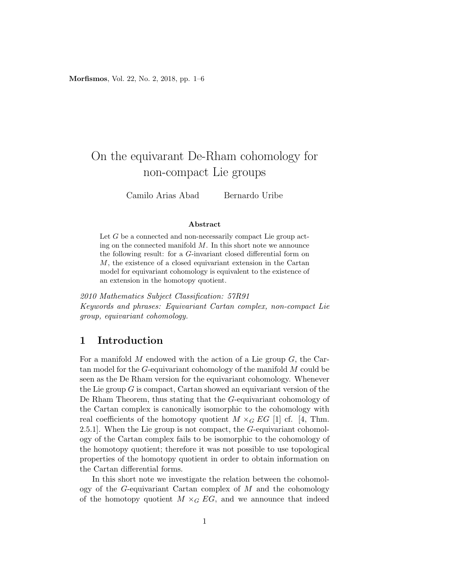Morfismos, Vol. 22, No. 2, 2018, pp. 1–6

# On the equivarant De-Rham cohomology for non-compact Lie groups

Camilo Arias Abad Bernardo Uribe

#### Abstract

Let G be a connected and non-necessarily compact Lie group acting on the connected manifold  $M$ . In this short note we announce the following result: for a G-invariant closed differential form on M, the existence of a closed equivariant extension in the Cartan model for equivariant cohomology is equivalent to the existence of an extension in the homotopy quotient.

2010 Mathematics Subject Classification: 57R91 Keywords and phrases: Equivariant Cartan complex, non-compact Lie group, equivariant cohomology.

### 1 Introduction

For a manifold  $M$  endowed with the action of a Lie group  $G$ , the Cartan model for the G-equivariant cohomology of the manifold M could be seen as the De Rham version for the equivariant cohomology. Whenever the Lie group  $G$  is compact, Cartan showed an equivariant version of the De Rham Theorem, thus stating that the G-equivariant cohomology of the Cartan complex is canonically isomorphic to the cohomology with real coefficients of the homotopy quotient  $M \times_G EG$  [1] cf. [4, Thm. 2.5.1]. When the Lie group is not compact, the G-equivariant cohomology of the Cartan complex fails to be isomorphic to the cohomology of the homotopy quotient; therefore it was not possible to use topological properties of the homotopy quotient in order to obtain information on the Cartan differential forms.

In this short note we investigate the relation between the cohomology of the G-equivariant Cartan complex of  $M$  and the cohomology of the homotopy quotient  $M \times_G EG$ , and we announce that indeed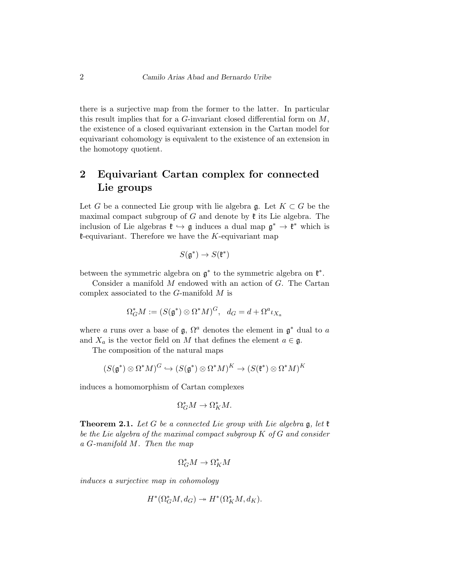there is a surjective map from the former to the latter. In particular this result implies that for a  $G$ -invariant closed differential form on  $M$ , the existence of a closed equivariant extension in the Cartan model for equivariant cohomology is equivalent to the existence of an extension in the homotopy quotient.

## 2 Equivariant Cartan complex for connected Lie groups

Let G be a connected Lie group with lie algebra g. Let  $K \subset G$  be the maximal compact subgroup of G and denote by  $\mathfrak k$  its Lie algebra. The inclusion of Lie algebras  $\mathfrak{k} \hookrightarrow \mathfrak{g}$  induces a dual map  $\mathfrak{g}^* \to \mathfrak{k}^*$  which is  $k$ -equivariant. Therefore we have the K-equivariant map

$$
S(\mathfrak{g}^*) \to S(\mathfrak{k}^*)
$$

between the symmetric algebra on  $\mathfrak{g}^*$  to the symmetric algebra on  $\mathfrak{k}^*$ .

Consider a manifold  $M$  endowed with an action of  $G$ . The Cartan complex associated to the G-manifold M is

$$
\Omega_G^* M := (S(\mathfrak{g}^*) \otimes \Omega^* M)^G, \ d_G = d + \Omega^a \iota_{X_a}
$$

where a runs over a base of  $\mathfrak{g}, \Omega^a$  denotes the element in  $\mathfrak{g}^*$  dual to a and  $X_a$  is the vector field on M that defines the element  $a \in \mathfrak{g}$ .

The composition of the natural maps

$$
(S(\mathfrak{g}^*)\otimes \Omega^*M)^G \hookrightarrow (S(\mathfrak{g}^*)\otimes \Omega^*M)^K \to (S(\mathfrak{k}^*)\otimes \Omega^*M)^K
$$

induces a homomorphism of Cartan complexes

$$
\Omega_G^*M\to \Omega_K^*M.
$$

**Theorem 2.1.** Let G be a connected Lie group with Lie algebra  $\mathfrak{g}$ , let  $\mathfrak{k}$ be the Lie algebra of the maximal compact subgroup  $K$  of  $G$  and consider a G-manifold M. Then the map

$$
\Omega_G^*M\to \Omega_K^*M
$$

induces a surjective map in cohomology

$$
H^*(\Omega_G^*M, d_G) \twoheadrightarrow H^*(\Omega_K^*M, d_K).
$$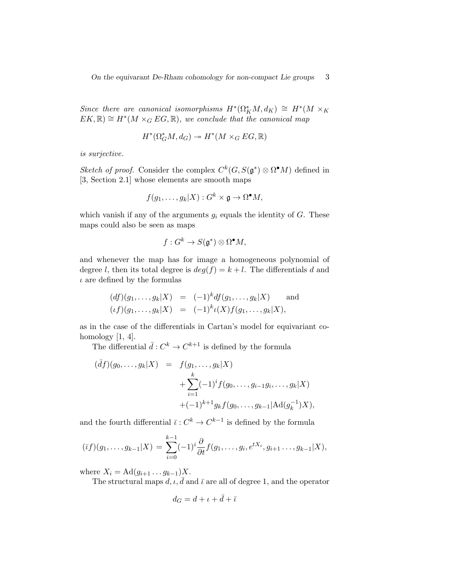On the equivarant De-Rham cohomology for non-compact Lie groups 3

Since there are canonical isomorphisms  $H^*(\Omega_K^*M, d_K) \cong H^*(M \times_K$  $EK, \mathbb{R}) \cong H^*(M \times_G EG, \mathbb{R})$ , we conclude that the canonical map

$$
H^*(\Omega_G^*M, d_G) \twoheadrightarrow H^*(M \times_G EG, \mathbb{R})
$$

is surjective.

Sketch of proof. Consider the complex  $C^k(G, S(\mathfrak{g}^*) \otimes \Omega^{\bullet}M)$  defined in [3, Section 2.1] whose elements are smooth maps

$$
f(g_1,\ldots,g_k|X):G^k\times\mathfrak{g}\to\Omega^\bullet M,
$$

which vanish if any of the arguments  $g_i$  equals the identity of  $G$ . These maps could also be seen as maps

$$
f: G^k \to S(\mathfrak{g}^*) \otimes \Omega^\bullet M,
$$

and whenever the map has for image a homogeneous polynomial of degree l, then its total degree is  $deg(f) = k + l$ . The differentials d and  $\iota$  are defined by the formulas

$$
(df)(g_1,...,g_k|X) = (-1)^k df(g_1,...,g_k|X)
$$
 and  
 $(\iota f)(g_1,...,g_k|X) = (-1)^k \iota(X) f(g_1,...,g_k|X),$ 

as in the case of the differentials in Cartan's model for equivariant cohomology  $[1, 4]$ .

The differential  $\bar{d}: C^k \to C^{k+1}$  is defined by the formula

$$
\begin{array}{rcl}\n(\bar{d}f)(g_0, \ldots, g_k | X) & = & f(g_1, \ldots, g_k | X) \\
& & + \sum_{i=1}^k (-1)^i f(g_0, \ldots, g_{i-1} g_i, \ldots, g_k | X) \\
& & + (-1)^{k+1} g_k f(g_0, \ldots, g_{k-1} | \text{Ad}(g_k^{-1}) X),\n\end{array}
$$

and the fourth differential  $\bar{\iota}: C^k \to C^{k-1}$  is defined by the formula

$$
(\bar{t}f)(g_1,\ldots,g_{k-1}|X) = \sum_{i=0}^{k-1} (-1)^i \frac{\partial}{\partial t} f(g_1,\ldots,g_i,e^{tX_i},g_{i+1}\ldots,g_{k-1}|X),
$$

where  $X_i = \text{Ad}(g_{i+1} \dots g_{k-1})X$ .

The structural maps  $d, \iota, d$  and  $\bar{\iota}$  are all of degree 1, and the operator

$$
d_G=d+\iota+\bar{d}+\bar{\iota}
$$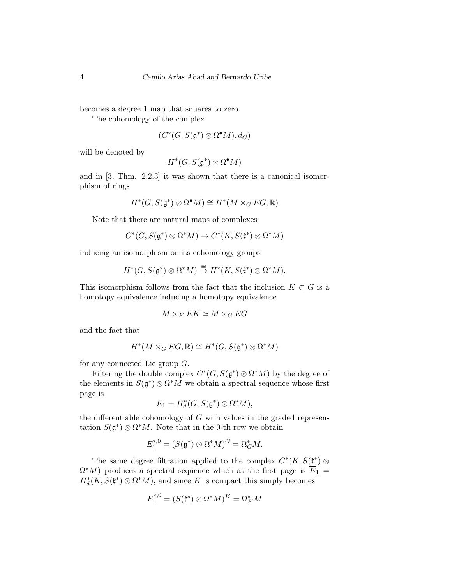becomes a degree 1 map that squares to zero.

The cohomology of the complex

$$
(C^*(G, S(\mathfrak{g}^*) \otimes \Omega^\bullet M), d_G)
$$

will be denoted by

$$
H^*(G, S(\mathfrak{g}^*) \otimes \Omega^\bullet M)
$$

and in [3, Thm. 2.2.3] it was shown that there is a canonical isomorphism of rings

$$
H^*(G, S(\mathfrak{g}^*) \otimes \Omega^\bullet M) \cong H^*(M \times_G EG; \mathbb{R})
$$

Note that there are natural maps of complexes

$$
C^*(G, S(\mathfrak{g}^*) \otimes \Omega^*M) \to C^*(K, S(\mathfrak{k}^*) \otimes \Omega^*M)
$$

inducing an isomorphism on its cohomology groups

$$
H^*(G, S(\mathfrak{g}^*) \otimes \Omega^*M) \stackrel{\cong}{\to} H^*(K, S(\mathfrak{k}^*) \otimes \Omega^*M).
$$

This isomorphism follows from the fact that the inclusion  $K \subset G$  is a homotopy equivalence inducing a homotopy equivalence

$$
M\times_KEK\simeq M\times_GEG
$$

and the fact that

$$
H^*(M\times_G EG,\mathbb{R})\cong H^*(G,S(\mathfrak{g}^*)\otimes \Omega^*M)
$$

for any connected Lie group G.

Filtering the double complex  $C^*(G, S(\mathfrak{g}^*) \otimes \Omega^*M)$  by the degree of the elements in  $S(\mathfrak{g}^*)\otimes \Omega^*M$  we obtain a spectral sequence whose first page is

$$
E_1 = H_d^*(G, S(\mathfrak{g}^*) \otimes \Omega^* M),
$$

the differentiable cohomology of  $G$  with values in the graded representation  $S(\mathfrak{g}^*) \otimes \Omega^* M$ . Note that in the 0-th row we obtain

$$
E_1^{*,0} = (S(\mathfrak{g}^*) \otimes \Omega^* M)^G = \Omega^*_G M.
$$

The same degree filtration applied to the complex  $C^*(K, S(\mathfrak{k}^*) \otimes$  $\Omega^*M$ ) produces a spectral sequence which at the first page is  $\overline{E}_1$  =  $H_d^*(K, S(\mathfrak{k}^*) \otimes \Omega^* M)$ , and since K is compact this simply becomes

$$
\overline{E}^{*,0}_1=(S(\mathfrak{k}^*)\otimes\Omega^*M)^K=\Omega^*_KM
$$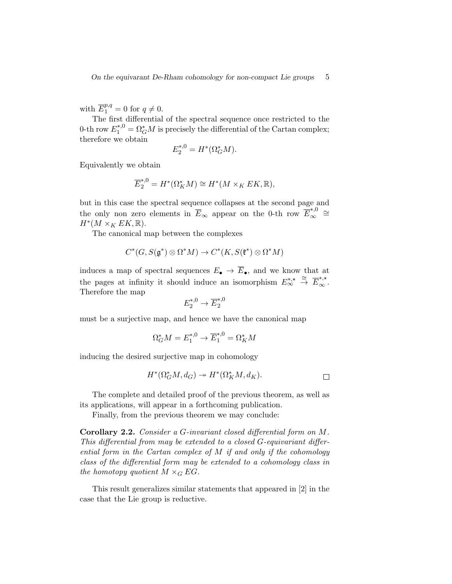with  $\overline{E}_1^{p,q} = 0$  for  $q \neq 0$ .

The first differential of the spectral sequence once restricted to the 0-th row  $E_1^{*,0} = \Omega_G^* M$  is precisely the differential of the Cartan complex; therefore we obtain

$$
E_2^{*,0} = H^*(\Omega_G^*M).
$$

Equivalently we obtain

$$
\overline{E}_{2}^{*,0} = H^{*}(\Omega_{K}^{*}M) \cong H^{*}(M \times_{K} EK, \mathbb{R}),
$$

but in this case the spectral sequence collapses at the second page and the only non zero elements in  $\overline{E}_{\infty}$  appear on the 0-th row  $\overline{E}_{\infty}^{*,0}$  $\overset{*,0}{\infty}$  ≅  $H^*(M\times_K EK,\mathbb{R}).$ 

The canonical map between the complexes

$$
C^*(G, S(\mathfrak{g}^*) \otimes \Omega^*M) \to C^*(K, S(\mathfrak{k}^*) \otimes \Omega^*M)
$$

induces a map of spectral sequences  $E_{\bullet} \to \overline{E}_{\bullet}$ , and we know that at the pages at infinity it should induce an isomorphism  $E_{\infty}^{*,\star} \stackrel{\cong}{\to} \overline{E}_{\infty}^{*,\star}$ . Therefore the map

$$
E_2^{*,0} \to \overline{E}_2^{*,0}
$$

must be a surjective map, and hence we have the canonical map

$$
\Omega_G^* M = E_1^{*,0} \to \overline{E}_1^{*,0} = \Omega_K^* M
$$

inducing the desired surjective map in cohomology

$$
H^*(\Omega_G^*M, d_G) \to H^*(\Omega_K^*M, d_K).
$$

The complete and detailed proof of the previous theorem, as well as its applications, will appear in a forthcoming publication.

Finally, from the previous theorem we may conclude:

Corollary 2.2. Consider a G-invariant closed differential form on M. This differential from may be extended to a closed G-equivariant differential form in the Cartan complex of M if and only if the cohomology class of the differential form may be extended to a cohomology class in the homotopy quotient  $M \times_G EG$ .

This result generalizes similar statements that appeared in [2] in the case that the Lie group is reductive.